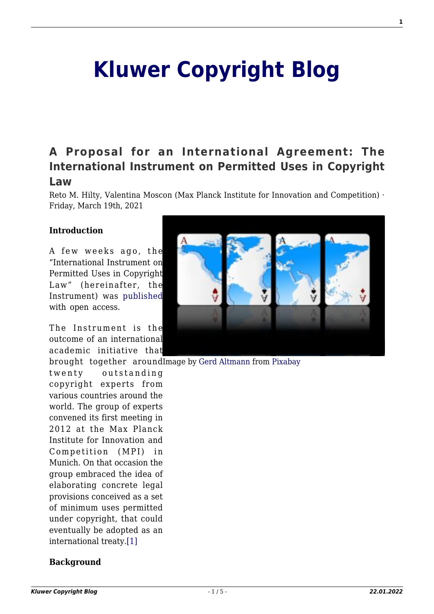# **[Kluwer Copyright Blog](http://copyrightblog.kluweriplaw.com/)**

# **[A Proposal for an International Agreement: The](http://copyrightblog.kluweriplaw.com/2021/03/19/a-proposal-for-an-international-agreement-the-international-instrument-on-permitted-uses-in-copyright-law/) [International Instrument on Permitted Uses in Copyright](http://copyrightblog.kluweriplaw.com/2021/03/19/a-proposal-for-an-international-agreement-the-international-instrument-on-permitted-uses-in-copyright-law/) [Law](http://copyrightblog.kluweriplaw.com/2021/03/19/a-proposal-for-an-international-agreement-the-international-instrument-on-permitted-uses-in-copyright-law/)**

Reto M. Hilty, Valentina Moscon (Max Planck Institute for Innovation and Competition) · Friday, March 19th, 2021

#### **Introduction**

A few weeks ago, the "International Instrument on Permitted Uses in Copyright Law" (hereinafter, the Instrument) was [published](https://link.springer.com/article/10.1007/s40319-020-00999-8) with open access.

The Instrument is the outcome of an international academic initiative that

twenty outstanding copyright experts from various countries around the world. The group of experts convened its first meeting in 2012 at the Max Planck Institute for Innovation and Competition (MPI) in Munich. On that occasion the group embraced the idea of elaborating concrete legal provisions conceived as a set of minimum uses permitted under copyright, that could eventually be adopted as an international treaty.[\[1\]](#page--1-0)

#### **Background**



brought together aroundImage by [Gerd Altmann](https://pixabay.com/users/geralt-9301/?utm_source=link-attribution&utm_medium=referral&utm_campaign=image&utm_content=2418342) from [Pixabay](https://pixabay.com/?utm_source=link-attribution&utm_medium=referral&utm_campaign=image&utm_content=2418342)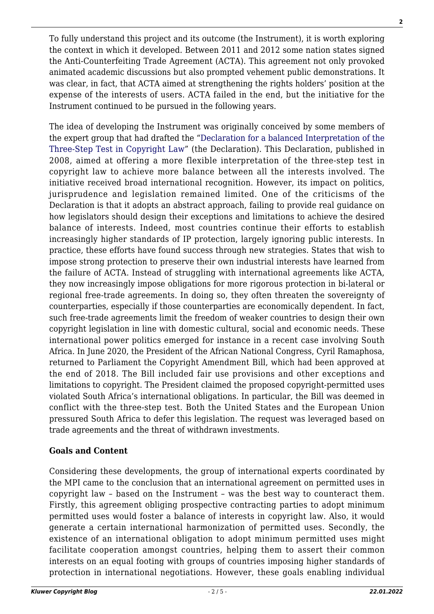To fully understand this project and its outcome (the Instrument), it is worth exploring the context in which it developed. Between 2011 and 2012 some nation states signed the Anti-Counterfeiting Trade Agreement (ACTA). This agreement not only provoked animated academic discussions but also prompted vehement public demonstrations. It was clear, in fact, that ACTA aimed at strengthening the rights holders' position at the expense of the interests of users. ACTA failed in the end, but the initiative for the Instrument continued to be pursued in the following years.

The idea of developing the Instrument was originally conceived by some members of the expert group that had drafted the ["Declaration for a balanced Interpretation of the](https://www.ip.mpg.de/en/research/research-news/declaration-three-step-test.html) [Three-Step Test in Copyright Law](https://www.ip.mpg.de/en/research/research-news/declaration-three-step-test.html)" (the Declaration). This Declaration, published in 2008, aimed at offering a more flexible interpretation of the three-step test in copyright law to achieve more balance between all the interests involved. The initiative received broad international recognition. However, its impact on politics, jurisprudence and legislation remained limited. One of the criticisms of the Declaration is that it adopts an abstract approach, failing to provide real guidance on how legislators should design their exceptions and limitations to achieve the desired balance of interests. Indeed, most countries continue their efforts to establish increasingly higher standards of IP protection, largely ignoring public interests. In practice, these efforts have found success through new strategies. States that wish to impose strong protection to preserve their own industrial interests have learned from the failure of ACTA. Instead of struggling with international agreements like ACTA, they now increasingly impose obligations for more rigorous protection in bi-lateral or regional free-trade agreements. In doing so, they often threaten the sovereignty of counterparties, especially if those counterparties are economically dependent. In fact, such free-trade agreements limit the freedom of weaker countries to design their own copyright legislation in line with domestic cultural, social and economic needs. These international power politics emerged for instance in a recent case involving South Africa. In June 2020, the President of the African National Congress, Cyril Ramaphosa, returned to Parliament the Copyright Amendment Bill, which had been approved at the end of 2018. The Bill included fair use provisions and other exceptions and limitations to copyright. The President claimed the proposed copyright-permitted uses violated South Africa's international obligations. In particular, the Bill was deemed in conflict with the three-step test. Both the United States and the European Union pressured South Africa to defer this legislation. The request was leveraged based on trade agreements and the threat of withdrawn investments.

### **Goals and Content**

Considering these developments, the group of international experts coordinated by the MPI came to the conclusion that an international agreement on permitted uses in copyright law – based on the Instrument – was the best way to counteract them. Firstly, this agreement obliging prospective contracting parties to adopt minimum permitted uses would foster a balance of interests in copyright law. Also, it would generate a certain international harmonization of permitted uses. Secondly, the existence of an international obligation to adopt minimum permitted uses might facilitate cooperation amongst countries, helping them to assert their common interests on an equal footing with groups of countries imposing higher standards of protection in international negotiations. However, these goals enabling individual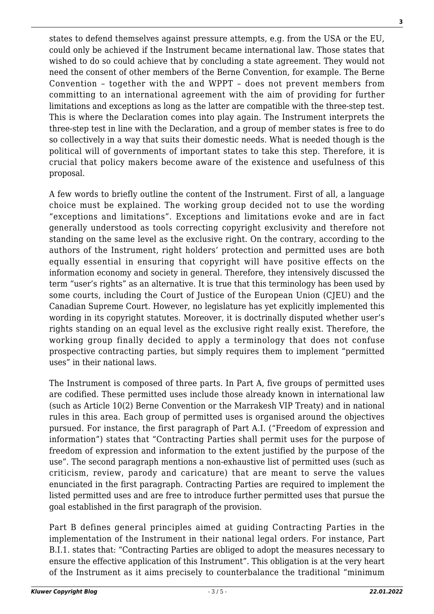states to defend themselves against pressure attempts, e.g. from the USA or the EU, could only be achieved if the Instrument became international law. Those states that wished to do so could achieve that by concluding a state agreement. They would not need the consent of other members of the Berne Convention, for example. The Berne Convention – together with the and WPPT – does not prevent members from committing to an international agreement with the aim of providing for further limitations and exceptions as long as the latter are compatible with the three-step test. This is where the Declaration comes into play again. The Instrument interprets the three-step test in line with the Declaration, and a group of member states is free to do so collectively in a way that suits their domestic needs. What is needed though is the political will of governments of important states to take this step. Therefore, it is crucial that policy makers become aware of the existence and usefulness of this proposal.

A few words to briefly outline the content of the Instrument. First of all, a language choice must be explained. The working group decided not to use the wording "exceptions and limitations". Exceptions and limitations evoke and are in fact generally understood as tools correcting copyright exclusivity and therefore not standing on the same level as the exclusive right. On the contrary, according to the authors of the Instrument, right holders' protection and permitted uses are both equally essential in ensuring that copyright will have positive effects on the information economy and society in general. Therefore, they intensively discussed the term "user's rights" as an alternative. It is true that this terminology has been used by some courts, including the Court of Justice of the European Union (CJEU) and the Canadian Supreme Court. However, no legislature has yet explicitly implemented this wording in its copyright statutes. Moreover, it is doctrinally disputed whether user's rights standing on an equal level as the exclusive right really exist. Therefore, the working group finally decided to apply a terminology that does not confuse prospective contracting parties, but simply requires them to implement "permitted uses" in their national laws.

The Instrument is composed of three parts. In Part A, five groups of permitted uses are codified. These permitted uses include those already known in international law (such as Article 10(2) Berne Convention or the Marrakesh VIP Treaty) and in national rules in this area. Each group of permitted uses is organised around the objectives pursued. For instance, the first paragraph of Part A.I. ("Freedom of expression and information") states that "Contracting Parties shall permit uses for the purpose of freedom of expression and information to the extent justified by the purpose of the use". The second paragraph mentions a non-exhaustive list of permitted uses (such as criticism, review, parody and caricature) that are meant to serve the values enunciated in the first paragraph. Contracting Parties are required to implement the listed permitted uses and are free to introduce further permitted uses that pursue the goal established in the first paragraph of the provision.

Part B defines general principles aimed at guiding Contracting Parties in the implementation of the Instrument in their national legal orders. For instance, Part B.I.1. states that: "Contracting Parties are obliged to adopt the measures necessary to ensure the effective application of this Instrument". This obligation is at the very heart of the Instrument as it aims precisely to counterbalance the traditional "minimum

**3**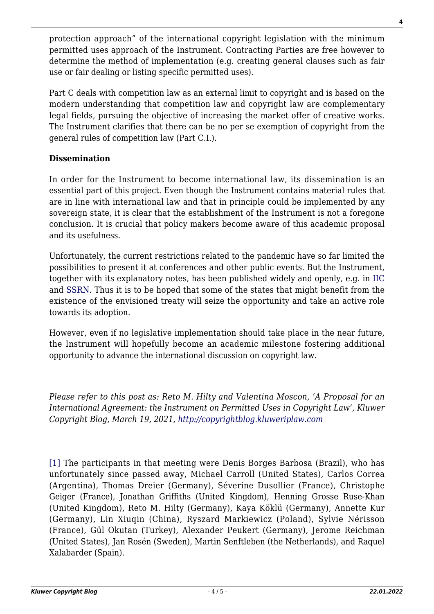protection approach" of the international copyright legislation with the minimum permitted uses approach of the Instrument. Contracting Parties are free however to determine the method of implementation (e.g. creating general clauses such as fair use or fair dealing or listing specific permitted uses).

Part C deals with competition law as an external limit to copyright and is based on the modern understanding that competition law and copyright law are complementary legal fields, pursuing the objective of increasing the market offer of creative works. The Instrument clarifies that there can be no per se exemption of copyright from the general rules of competition law (Part C.I.).

# **Dissemination**

In order for the Instrument to become international law, its dissemination is an essential part of this project. Even though the Instrument contains material rules that are in line with international law and that in principle could be implemented by any sovereign state, it is clear that the establishment of the Instrument is not a foregone conclusion. It is crucial that policy makers become aware of this academic proposal and its usefulness.

Unfortunately, the current restrictions related to the pandemic have so far limited the possibilities to present it at conferences and other public events. But the Instrument, together with its explanatory notes, has been published widely and openly, e.g. in [IIC](https://link.springer.com/article/10.1007/s40319-020-00999-8) and [SSRN.](https://papers.ssrn.com/sol3/papers.cfm?abstract_id=3771241) Thus it is to be hoped that some of the states that might benefit from the existence of the envisioned treaty will seize the opportunity and take an active role towards its adoption.

However, even if no legislative implementation should take place in the near future, the Instrument will hopefully become an academic milestone fostering additional opportunity to advance the international discussion on copyright law.

*Please refer to this post as: Reto M. Hilty and Valentina Moscon, 'A Proposal for an International Agreement: the Instrument on Permitted Uses in Copyright Law', Kluwer Copyright Blog, March 19, 2021,<http://copyrightblog.kluweriplaw.com>*

[\[1\]](#page--1-0) The participants in that meeting were Denis Borges Barbosa (Brazil), who has unfortunately since passed away, Michael Carroll (United States), Carlos Correa (Argentina), Thomas Dreier (Germany), Séverine Dusollier (France), Christophe Geiger (France), Jonathan Griffiths (United Kingdom), Henning Grosse Ruse-Khan (United Kingdom), Reto M. Hilty (Germany), Kaya Köklü (Germany), Annette Kur (Germany), Lin Xiuqin (China), Ryszard Markiewicz (Poland), Sylvie Nérisson (France), Gül Okutan (Turkey), Alexander Peukert (Germany), Jerome Reichman (United States), Jan Rosén (Sweden), Martin Senftleben (the Netherlands), and Raquel Xalabarder (Spain).